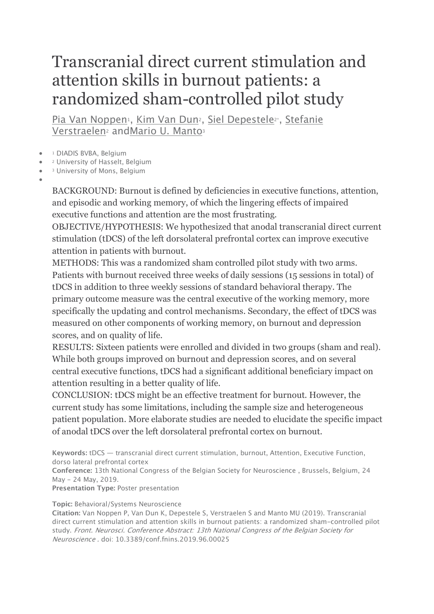## Transcranial direct current stimulation and attention skills in burnout patients: a randomized sham-controlled pilot study

Pia Van Noppen<sup>1</sup>, Kim Van Dun<sup>2</sup>, Siel Depestele<sup>2\*</sup>, Stefanie Verstraelen<sup>2</sup> andMario U. Manto<sup>3</sup>

- <sup>1</sup> DIADIS BVBA, Belgium
- <sup>2</sup> University of Hasselt, Belgium
- <sup>3</sup> University of Mons, Belgium
- •

BACKGROUND: Burnout is defined by deficiencies in executive functions, attention, and episodic and working memory, of which the lingering effects of impaired executive functions and attention are the most frustrating.

OBJECTIVE/HYPOTHESIS: We hypothesized that anodal transcranial direct current stimulation (tDCS) of the left dorsolateral prefrontal cortex can improve executive attention in patients with burnout.

METHODS: This was a randomized sham controlled pilot study with two arms. Patients with burnout received three weeks of daily sessions (15 sessions in total) of tDCS in addition to three weekly sessions of standard behavioral therapy. The primary outcome measure was the central executive of the working memory, more specifically the updating and control mechanisms. Secondary, the effect of tDCS was measured on other components of working memory, on burnout and depression scores, and on quality of life.

RESULTS: Sixteen patients were enrolled and divided in two groups (sham and real). While both groups improved on burnout and depression scores, and on several central executive functions, tDCS had a significant additional beneficiary impact on attention resulting in a better quality of life.

CONCLUSION: tDCS might be an effective treatment for burnout. However, the current study has some limitations, including the sample size and heterogeneous patient population. More elaborate studies are needed to elucidate the specific impact of anodal tDCS over the left dorsolateral prefrontal cortex on burnout.

**Keywords:** tDCS — transcranial direct current stimulation, burnout, Attention, Executive Function, dorso lateral prefrontal cortex

**Conference:** 13th National Congress of the Belgian Society for Neuroscience , Brussels, Belgium, 24 May - 24 May, 2019.

**Presentation Type:** Poster presentation

## **Topic:** Behavioral/Systems Neuroscience

**Citation:** Van Noppen P, Van Dun K, Depestele S, Verstraelen S and Manto MU (2019). Transcranial direct current stimulation and attention skills in burnout patients: a randomized sham-controlled pilot study. Front. Neurosci. Conference Abstract: 13th National Congress of the Belgian Society for Neuroscience . doi: 10.3389/conf.fnins.2019.96.00025